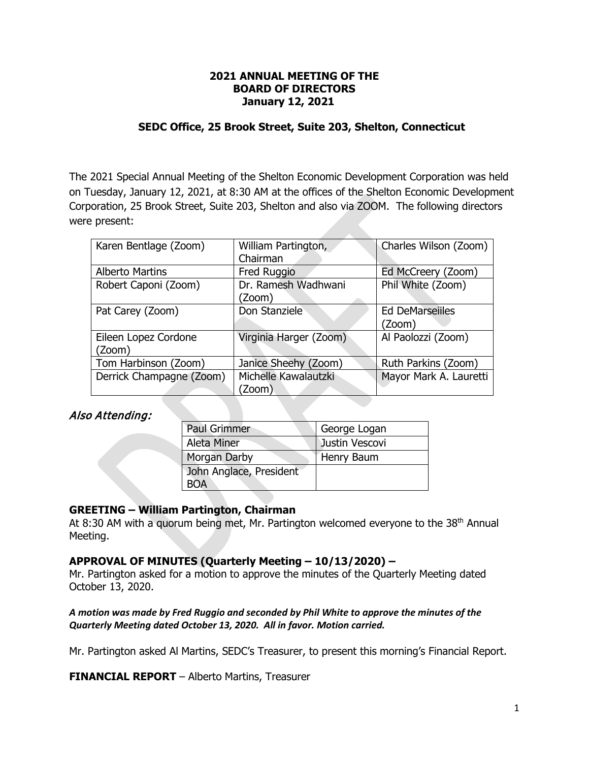# **2021 ANNUAL MEETING OF THE BOARD OF DIRECTORS January 12, 2021**

# **SEDC Office, 25 Brook Street, Suite 203, Shelton, Connecticut**

The 2021 Special Annual Meeting of the Shelton Economic Development Corporation was held on Tuesday, January 12, 2021, at 8:30 AM at the offices of the Shelton Economic Development Corporation, 25 Brook Street, Suite 203, Shelton and also via ZOOM. The following directors were present:

| Karen Bentlage (Zoom)    | William Partington,    | Charles Wilson (Zoom)  |  |
|--------------------------|------------------------|------------------------|--|
|                          | Chairman               |                        |  |
| <b>Alberto Martins</b>   | Fred Ruggio            | Ed McCreery (Zoom)     |  |
| Robert Caponi (Zoom)     | Dr. Ramesh Wadhwani    | Phil White (Zoom)      |  |
|                          | (Zoom)                 |                        |  |
| Pat Carey (Zoom)         | Don Stanziele          | <b>Ed DeMarseilles</b> |  |
|                          |                        | (Zoom)                 |  |
| Eileen Lopez Cordone     | Virginia Harger (Zoom) | Al Paolozzi (Zoom)     |  |
| (Zoom)                   |                        |                        |  |
| Tom Harbinson (Zoom)     | Janice Sheehy (Zoom)   | Ruth Parkins (Zoom)    |  |
| Derrick Champagne (Zoom) | Michelle Kawalautzki   | Mayor Mark A. Lauretti |  |
|                          | (Zoom                  |                        |  |

# Also Attending:

| <b>Paul Grimmer</b>     | George Logan   |  |  |
|-------------------------|----------------|--|--|
| Aleta Miner             | Justin Vescovi |  |  |
| Morgan Darby            | Henry Baum     |  |  |
| John Anglace, President |                |  |  |
| 'OA                     |                |  |  |

# **GREETING – William Partington, Chairman**

At 8:30 AM with a quorum being met, Mr. Partington welcomed everyone to the  $38<sup>th</sup>$  Annual Meeting.

# **APPROVAL OF MINUTES (Quarterly Meeting – 10/13/2020) –**

Mr. Partington asked for a motion to approve the minutes of the Quarterly Meeting dated October 13, 2020.

# *A motion was made by Fred Ruggio and seconded by Phil White to approve the minutes of the Quarterly Meeting dated October 13, 2020. All in favor. Motion carried.*

Mr. Partington asked Al Martins, SEDC's Treasurer, to present this morning's Financial Report.

**FINANCIAL REPORT** – Alberto Martins, Treasurer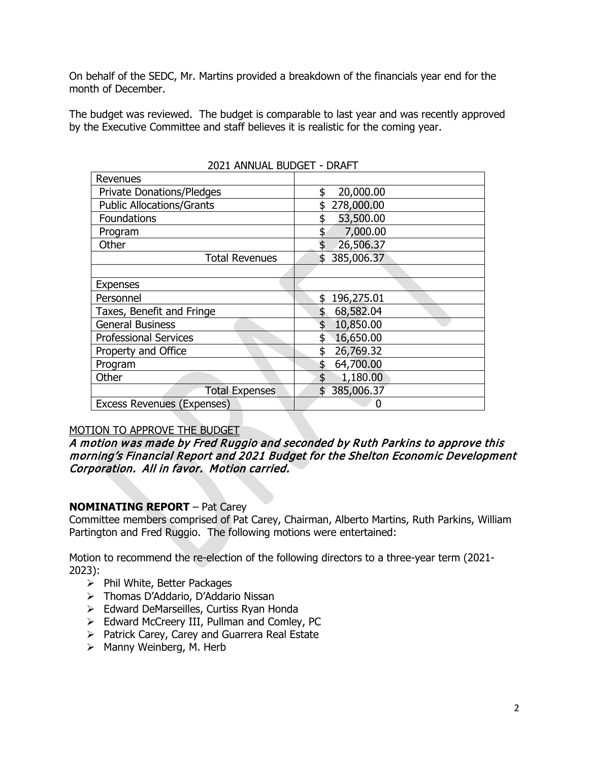On behalf of the SEDC, Mr. Martins provided a breakdown of the financials year end for the month of December.

The budget was reviewed. The budget is comparable to last year and was recently approved by the Executive Committee and staff believes it is realistic for the coming year.

| Revenues                          |                  |  |  |  |
|-----------------------------------|------------------|--|--|--|
| <b>Private Donations/Pledges</b>  | 20,000.00<br>\$  |  |  |  |
| <b>Public Allocations/Grants</b>  | 278,000.00       |  |  |  |
| Foundations                       | 53,500.00        |  |  |  |
| Program                           | 7,000.00         |  |  |  |
| Other                             | 26,506.37        |  |  |  |
| <b>Total Revenues</b>             | \$385,006.37     |  |  |  |
|                                   |                  |  |  |  |
| <b>Expenses</b>                   |                  |  |  |  |
| Personnel                         | 196,275.01<br>\$ |  |  |  |
| Taxes, Benefit and Fringe         | 68,582.04<br>\$  |  |  |  |
| <b>General Business</b>           | 10,850.00<br>\$  |  |  |  |
| <b>Professional Services</b>      | 16,650.00<br>\$  |  |  |  |
| Property and Office               | 26,769.32<br>\$  |  |  |  |
| Program                           | \$<br>64,700.00  |  |  |  |
| Other                             | \$<br>1,180.00   |  |  |  |
| <b>Total Expenses</b>             | 385,006.37       |  |  |  |
| <b>Excess Revenues (Expenses)</b> | 0                |  |  |  |

# 2021 ANNUAL BUDGET - DRAFT

# MOTION TO APPROVE THE BUDGET

# A motion was made by Fred Ruggio and seconded by Ruth Parkins to approve this morning's Financial Report and 2021 Budget for the Shelton Economic Development Corporation. All in favor. Motion carried.

# **NOMINATING REPORT** – Pat Carey

Committee members comprised of Pat Carey, Chairman, Alberto Martins, Ruth Parkins, William Partington and Fred Ruggio. The following motions were entertained:

Motion to recommend the re-election of the following directors to a three-year term (2021- 2023):

- $\triangleright$  Phil White, Better Packages
- > Thomas D'Addario, D'Addario Nissan
- > Edward DeMarseilles, Curtiss Ryan Honda
- $\triangleright$  Edward McCreery III, Pullman and Comley, PC
- $\triangleright$  Patrick Carey, Carey and Guarrera Real Estate
- $\triangleright$  Manny Weinberg, M. Herb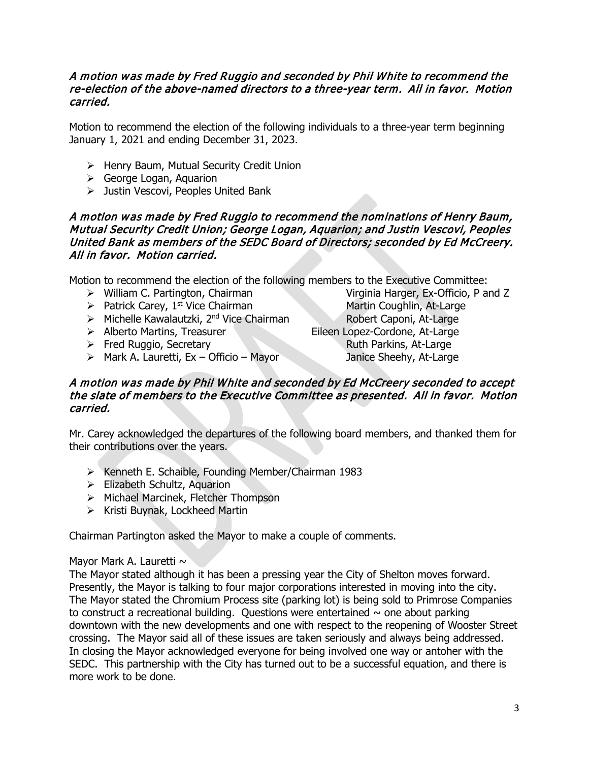# A motion was made by Fred Ruggio and seconded by Phil White to recommend the re-election of the above-named directors to a three-year term. All in favor. Motion carried.

Motion to recommend the election of the following individuals to a three-year term beginning January 1, 2021 and ending December 31, 2023.

- > Henry Baum, Mutual Security Credit Union
- George Logan, Aquarion
- > Justin Vescovi, Peoples United Bank

# A motion was made by Fred Ruggio to recommend the nominations of Henry Baum, Mutual Security Credit Union; George Logan, Aquarion; and Justin Vescovi, Peoples United Bank as members of the SEDC Board of Directors; seconded by Ed McCreery. All in favor. Motion carried.

Motion to recommend the election of the following members to the Executive Committee:

- 
- 
- $\triangleright$  Michelle Kawalautzki, 2<sup>nd</sup> Vice Chairman
- 
- $\triangleright$  Fred Ruggio, Secretary
- $\triangleright$  Mark A. Lauretti, Ex Officio Mayor Janice Sheehy, At-Large

▶ William C. Partington, Chairman Virginia Harger, Ex-Officio, P and Z  $\geq$  Patrick Carey, 1<sup>st</sup> Vice Chairman Martin Coughlin, At-Large  $\geq$  Michelle Kawalautzki, 2<sup>nd</sup> Vice Chairman Robert Caponi, At-Large → Alberto Martins, Treasurer Eileen Lopez-Cordone, At-Large<br>
→ Fred Ruggio, Secretary Ruth Parkins, At-Large

# A motion was made by Phil White and seconded by Ed McCreery seconded to accept the slate of members to the Executive Committee as presented. All in favor. Motion carried.

Mr. Carey acknowledged the departures of the following board members, and thanked them for their contributions over the years.

- $\triangleright$  Kenneth E. Schaible, Founding Member/Chairman 1983
- $\triangleright$  Elizabeth Schultz, Aquarion
- > Michael Marcinek, Fletcher Thompson
- $\triangleright$  Kristi Buynak, Lockheed Martin

Chairman Partington asked the Mayor to make a couple of comments.

# Mayor Mark A. Lauretti  $\sim$

The Mayor stated although it has been a pressing year the City of Shelton moves forward. Presently, the Mayor is talking to four major corporations interested in moving into the city. The Mayor stated the Chromium Process site (parking lot) is being sold to Primrose Companies to construct a recreational building. Questions were entertained  $\sim$  one about parking downtown with the new developments and one with respect to the reopening of Wooster Street crossing. The Mayor said all of these issues are taken seriously and always being addressed. In closing the Mayor acknowledged everyone for being involved one way or antoher with the SEDC. This partnership with the City has turned out to be a successful equation, and there is more work to be done.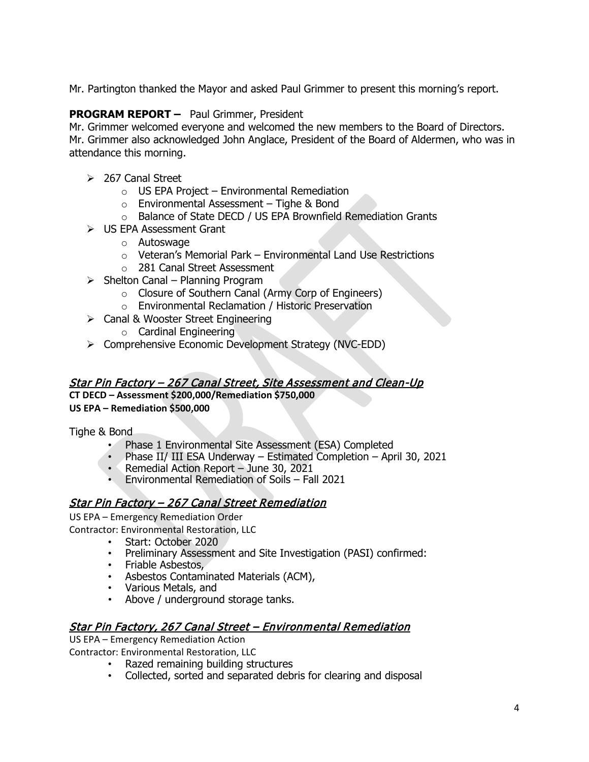Mr. Partington thanked the Mayor and asked Paul Grimmer to present this morning's report.

# **PROGRAM REPORT –** Paul Grimmer, President

Mr. Grimmer welcomed everyone and welcomed the new members to the Board of Directors. Mr. Grimmer also acknowledged John Anglace, President of the Board of Aldermen, who was in attendance this morning.

- $\geq$  267 Canal Street
	- $\circ$  US EPA Project Environmental Remediation
	- $\circ$  Environmental Assessment Tighe & Bond
	- o Balance of State DECD / US EPA Brownfield Remediation Grants
- US EPA Assessment Grant
	- o Autoswage
	- o Veteran's Memorial Park Environmental Land Use Restrictions
	- o 281 Canal Street Assessment
- $\triangleright$  Shelton Canal Planning Program
	- o Closure of Southern Canal (Army Corp of Engineers)
	- o Environmental Reclamation / Historic Preservation
- $\triangleright$  Canal & Wooster Street Engineering
	- o Cardinal Engineering
- Comprehensive Economic Development Strategy (NVC-EDD)

# Star Pin Factory – 267 Canal Street, Site Assessment and Clean-Up

**CT DECD – Assessment \$200,000/Remediation \$750,000**

# **US EPA – Remediation \$500,000**

Tighe & Bond

- Phase 1 Environmental Site Assessment (ESA) Completed
- Phase II/ III ESA Underway Estimated Completion April 30, 2021
- Remedial Action Report June 30, 2021
- Environmental Remediation of Soils Fall 2021

# Star Pin Factory – 267 Canal Street Remediation

US EPA – Emergency Remediation Order

Contractor: Environmental Restoration, LLC

- Start: October 2020
- Preliminary Assessment and Site Investigation (PASI) confirmed:
- Friable Asbestos,
- Asbestos Contaminated Materials (ACM),
- Various Metals, and
- Above / underground storage tanks.

# Star Pin Factory, 267 Canal Street – Environmental Remediation

US EPA – Emergency Remediation Action

Contractor: Environmental Restoration, LLC

- Razed remaining building structures
- Collected, sorted and separated debris for clearing and disposal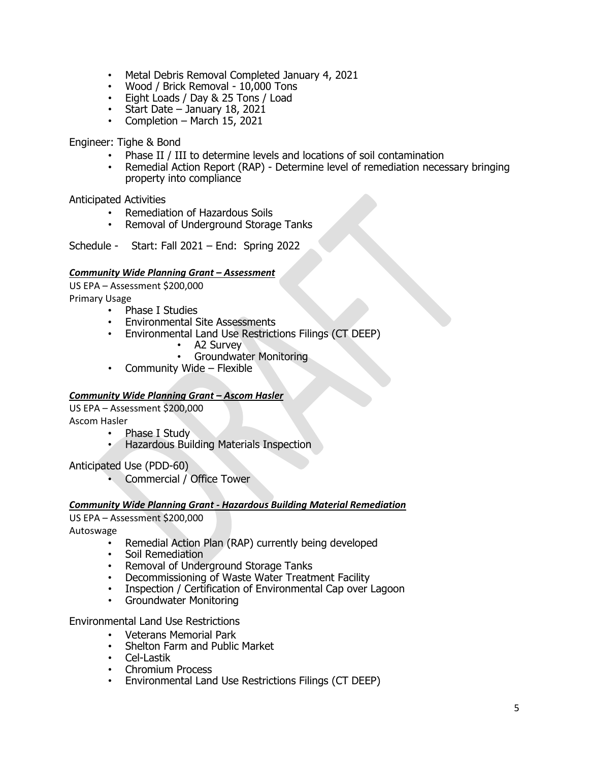- Metal Debris Removal Completed January 4, 2021
- Wood / Brick Removal 10,000 Tons
- Eight Loads / Day & 25 Tons / Load
- Start Date January 18, 2021
- Completion March 15, 2021

Engineer: Tighe & Bond

- Phase II / III to determine levels and locations of soil contamination
- Remedial Action Report (RAP) Determine level of remediation necessary bringing property into compliance

Anticipated Activities

- Remediation of Hazardous Soils
- Removal of Underground Storage Tanks

Schedule - Start: Fall 2021 – End: Spring 2022

### *Community Wide Planning Grant – Assessment*

US EPA – Assessment \$200,000 Primary Usage

- Phase I Studies
	- Environmental Site Assessments
		- Environmental Land Use Restrictions Filings (CT DEEP)
			- A2 Survey
				- Groundwater Monitoring
	- Community Wide Flexible

#### *Community Wide Planning Grant – Ascom Hasler*

US EPA – Assessment \$200,000

Ascom Hasler

- Phase I Study
- Hazardous Building Materials Inspection

Anticipated Use (PDD-60)

• Commercial / Office Tower

#### *Community Wide Planning Grant - Hazardous Building Material Remediation*

US EPA – Assessment \$200,000

Autoswage

- Remedial Action Plan (RAP) currently being developed
- Soil Remediation
- Removal of Underground Storage Tanks
- Decommissioning of Waste Water Treatment Facility
- Inspection / Certification of Environmental Cap over Lagoon
- Groundwater Monitoring

Environmental Land Use Restrictions

- Veterans Memorial Park
- Shelton Farm and Public Market
- Cel-Lastik
- Chromium Process
- Environmental Land Use Restrictions Filings (CT DEEP)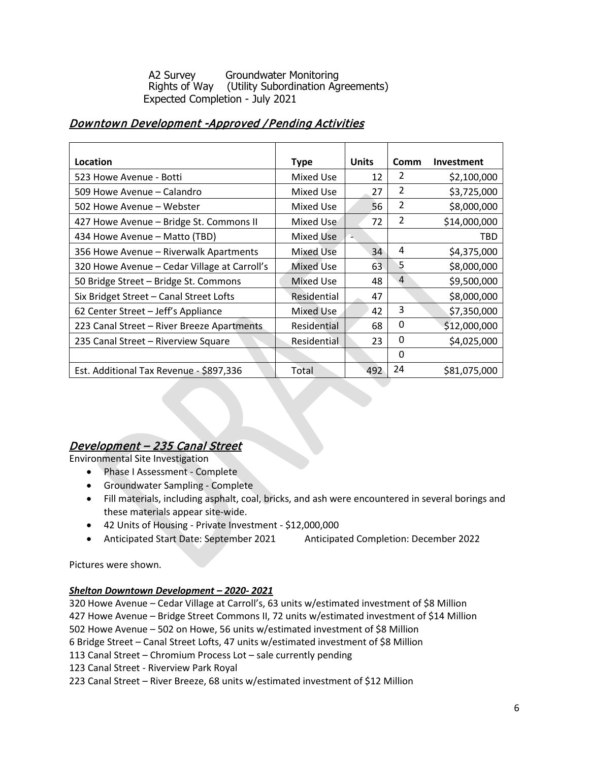A2 Survey Groundwater Monitoring<br>Rights of Way (Utility Subordination Ag (Utility Subordination Agreements) Expected Completion - July 2021

# Downtown Development -Approved /Pending Activities

| Location                                     | <b>Type</b>      | <b>Units</b> | <b>Comm</b>    | Investment   |
|----------------------------------------------|------------------|--------------|----------------|--------------|
| 523 Howe Avenue - Botti                      | Mixed Use        | 12           | 2              | \$2,100,000  |
| 509 Howe Avenue – Calandro                   | Mixed Use        | 27           | $\overline{2}$ | \$3,725,000  |
| 502 Howe Avenue – Webster                    | <b>Mixed Use</b> | 56           | 2              | \$8,000,000  |
| 427 Howe Avenue - Bridge St. Commons II      | Mixed Use        | 72           | 2              | \$14,000,000 |
| 434 Howe Avenue - Matto (TBD)                | Mixed Use        |              |                | TBD          |
| 356 Howe Avenue - Riverwalk Apartments       | <b>Mixed Use</b> | 34           | 4              | \$4,375,000  |
| 320 Howe Avenue – Cedar Village at Carroll's | Mixed Use        | 63           | 5              | \$8,000,000  |
| 50 Bridge Street – Bridge St. Commons        | Mixed Use        | 48           | 4              | \$9,500,000  |
| Six Bridget Street - Canal Street Lofts      | Residential      | 47           |                | \$8,000,000  |
| 62 Center Street - Jeff's Appliance          | Mixed Use        | 42           | 3              | \$7,350,000  |
| 223 Canal Street - River Breeze Apartments   | Residential      | 68           | 0              | \$12,000,000 |
| 235 Canal Street – Riverview Square          | Residential      | 23           | 0              | \$4,025,000  |
|                                              |                  |              | 0              |              |
| Est. Additional Tax Revenue - \$897,336      | Total            | 492          | 24             | \$81,075,000 |

# Development – 235 Canal Street

Environmental Site Investigation

- Phase I Assessment Complete
- Groundwater Sampling Complete
- Fill materials, including asphalt, coal, bricks, and ash were encountered in several borings and these materials appear site-wide.
- 42 Units of Housing Private Investment \$12,000,000
- Anticipated Start Date: September 2021 Anticipated Completion: December 2022

Pictures were shown.

# *Shelton Downtown Development – 2020- 2021*

320 Howe Avenue – Cedar Village at Carroll's, 63 units w/estimated investment of \$8 Million

427 Howe Avenue – Bridge Street Commons II, 72 units w/estimated investment of \$14 Million

502 Howe Avenue – 502 on Howe, 56 units w/estimated investment of \$8 Million

6 Bridge Street – Canal Street Lofts, 47 units w/estimated investment of \$8 Million

113 Canal Street – Chromium Process Lot – sale currently pending

123 Canal Street - Riverview Park Royal

223 Canal Street – River Breeze, 68 units w/estimated investment of \$12 Million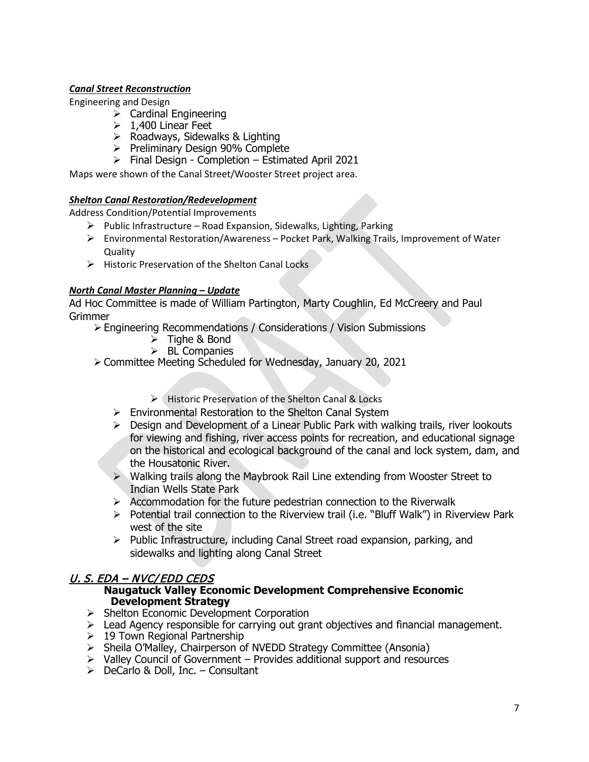# *Canal Street Reconstruction*

Engineering and Design

- $\triangleright$  Cardinal Engineering
- $\geq 1,400$  Linear Feet
- $\triangleright$  Roadways, Sidewalks & Lighting
- $\triangleright$  Preliminary Design 90% Complete
- $\triangleright$  Final Design Completion Estimated April 2021

Maps were shown of the Canal Street/Wooster Street project area.

# *Shelton Canal Restoration/Redevelopment*

Address Condition/Potential Improvements

- $\triangleright$  Public Infrastructure Road Expansion, Sidewalks, Lighting, Parking
- $\triangleright$  Environmental Restoration/Awareness Pocket Park, Walking Trails, Improvement of Water **Quality**
- $\triangleright$  Historic Preservation of the Shelton Canal Locks

# *North Canal Master Planning – Update*

Ad Hoc Committee is made of William Partington, Marty Coughlin, Ed McCreery and Paul **Grimmer** 

- Engineering Recommendations / Considerations / Vision Submissions
	- $\triangleright$  Tighe & Bond
	- $\triangleright$  BL Companies
- Committee Meeting Scheduled for Wednesday, January 20, 2021
	- Historic Preservation of the Shelton Canal & Locks
	- Environmental Restoration to the Shelton Canal System
	- $\triangleright$  Design and Development of a Linear Public Park with walking trails, river lookouts for viewing and fishing, river access points for recreation, and educational signage on the historical and ecological background of the canal and lock system, dam, and the Housatonic River.
	- Walking trails along the Maybrook Rail Line extending from Wooster Street to Indian Wells State Park
	- $\triangleright$  Accommodation for the future pedestrian connection to the Riverwalk
	- $\triangleright$  Potential trail connection to the Riverview trail (i.e. "Bluff Walk") in Riverview Park west of the site
	- $\triangleright$  Public Infrastructure, including Canal Street road expansion, parking, and sidewalks and lighting along Canal Street

# U. S. EDA – NVC/EDD CEDS

# **Naugatuck Valley Economic Development Comprehensive Economic Development Strategy**

- $\triangleright$  Shelton Economic Development Corporation
- Lead Agency responsible for carrying out grant objectives and financial management.
- $\geq 19$  Town Regional Partnership
- $\triangleright$  Sheila O'Malley, Chairperson of NVEDD Strategy Committee (Ansonia)
- $\triangleright$  Valley Council of Government Provides additional support and resources
- $\triangleright$  DeCarlo & Doll, Inc. Consultant